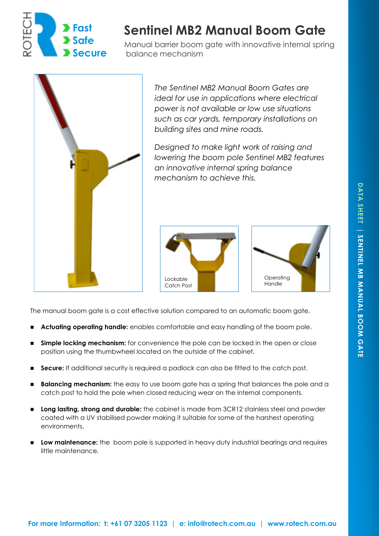

# **Sentinel MB2 Manual Boom Gate**

Manual barrier boom gate with innovative internal spring balance mechanism



*The Sentinel MB2 Manual Boom Gates are ideal for use in applications where electrical power is not available or low use situations such as car yards, temporary installations on building sites and mine roads.* 

*Designed to make light work of raising and lowering the boom pole Sentinel MB2 features an innovative internal spring balance mechanism to achieve this.* 



The manual boom gate is a cost effective solution compared to an automatic boom gate.

- **Actuating operating handle:** enables comfortable and easy handling of the boom pole.
- **Simple locking mechanism:** for convenience the pole can be locked in the open or close position using the thumbwheel located on the outside of the cabinet.
- **Secure:** If additional security is required a padlock can also be fitted to the catch post.
- **Balancing mechanism:** the easy to use boom gate has a spring that balances the pole and a catch post to hold the pole when closed reducing wear on the internal components.
- **Long lasting, strong and durable:** the cabinet is made from 3CR12 stainless steel and powder coated with a UV stabilised powder making it suitable for some of the harshest operating environments.
- **Low maintenance:** the boom pole is supported in heavy duty industrial bearings and requires little maintenance.